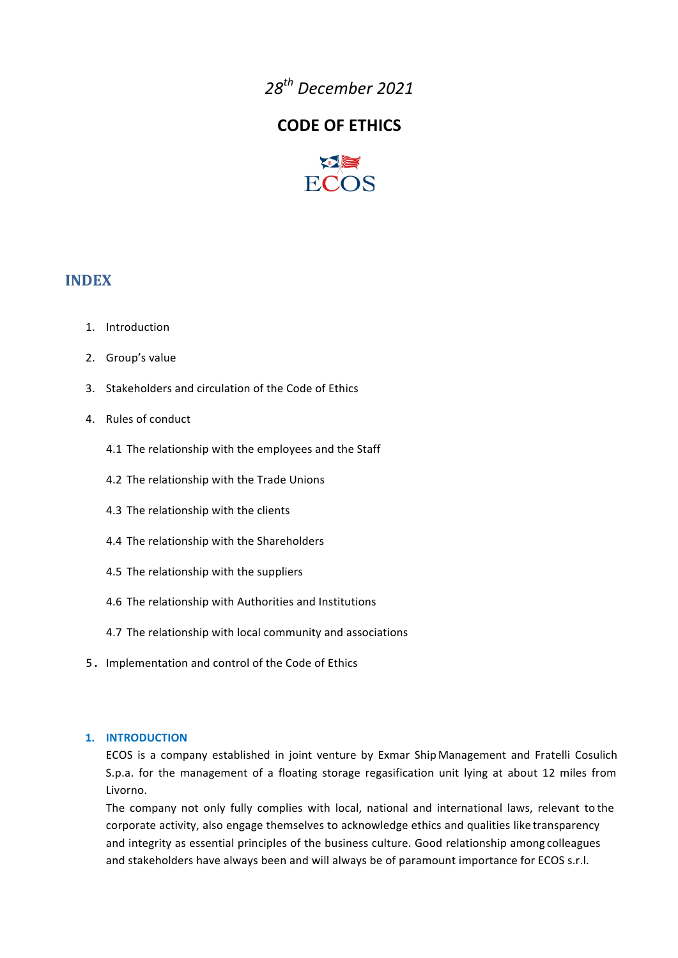*28th December&2021*

# **CODE OF ETHICS**



## **INDEX**

- 1. Introduction
- 2. Group's value
- 3. Stakeholders and circulation of the Code of Ethics
- 4. Rules of conduct
	- 4.1 The relationship with the employees and the Staff
	- 4.2 The relationship with the Trade Unions
	- 4.3 The relationship with the clients
	- 4.4 The relationship with the Shareholders
	- 4.5 The relationship with the suppliers
	- 4.6 The relationship with Authorities and Institutions
	- 4.7 The relationship with local community and associations
- 5. Implementation and control of the Code of Ethics

#### **1. INTRODUCTION**

ECOS is a company established in joint venture by Exmar Ship Management and Fratelli Cosulich S.p.a., for the management of a floating storage regasification unit lying at about 12 miles from Livorno.

The company not only fully complies with local, national and international laws, relevant to the corporate activity, also engage themselves to acknowledge ethics and qualities like transparency and integrity as essential principles of the business culture. Good relationship among colleagues and stakeholders have always been and will always be of paramount importance for ECOS s.r.l.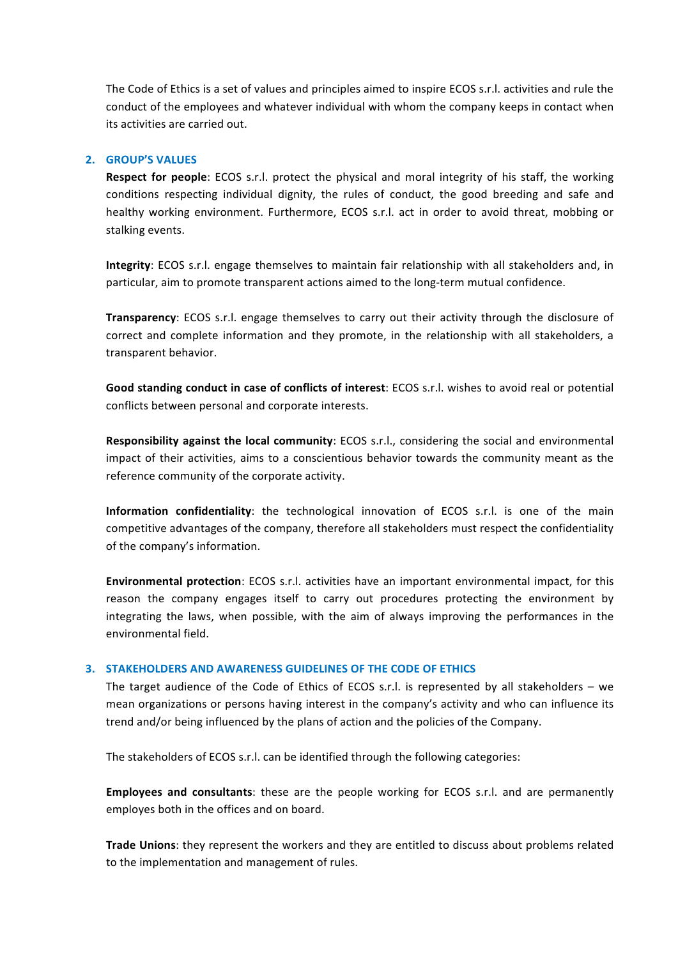The,Code of Ethics is a set of values and principles aimed to inspire ECOS s.r.l. activities and rule the conduct of the employees and whatever individual with whom the company keeps in contact when its activities are carried out.

#### **2. GROUP'S VALUES**

**Respect for people**: ECOS s.r.l. protect the physical and moral integrity of his staff, the working conditions respecting individual dignity, the rules of conduct, the good breeding and safe and healthy working environment. Furthermore, ECOS s.r.l. act in order to avoid threat, mobbing or stalking events.

**Integrity**: ECOS s.r.l. engage themselves to maintain fair relationship with all stakeholders and, in particular, aim to promote transparent actions aimed to the long-term mutual confidence.

**Transparency**: ECOS s.r.l. engage themselves to carry out their activity through the disclosure of correct and complete information and they promote, in the relationship with all stakeholders, a transparent behavior.

Good standing conduct in case of conflicts of interest: ECOS s.r.l. wishes to avoid real or potential conflicts between personal and corporate interests.

Responsibility against the local community: ECOS s.r.l., considering the social and environmental impact of their activities, aims to a conscientious behavior towards the community meant as the reference community of the corporate activity.

**Information confidentiality**: the technological innovation of ECOS s.r.l. is one of the main competitive advantages of the company, therefore all stakeholders must respect the confidentiality of the company's information.

**Environmental protection**: ECOS s.r.l. activities have an important environmental impact, for this reason the company engages itself to carry out procedures protecting the environment by integrating the laws, when possible, with the aim of always improving the performances in the environmental field.

### **3. STAKEHOLDERS AND AWARENESS GUIDELINES OF THE CODE OF ETHICS**

The target audience of the Code of Ethics of ECOS s.r.l. is represented by all stakeholders – we mean organizations or persons having interest in the company's activity and who can influence its trend and/or being influenced by the plans of action and the policies of the Company.

The stakeholders of ECOS s.r.l. can be identified through the following categories:

**Employees and consultants**: these are the people working for ECOS s.r.l. and are permanently employes both in the offices and on board.

Trade Unions: they represent the workers and they are entitled to discuss about problems related to the implementation and management of rules.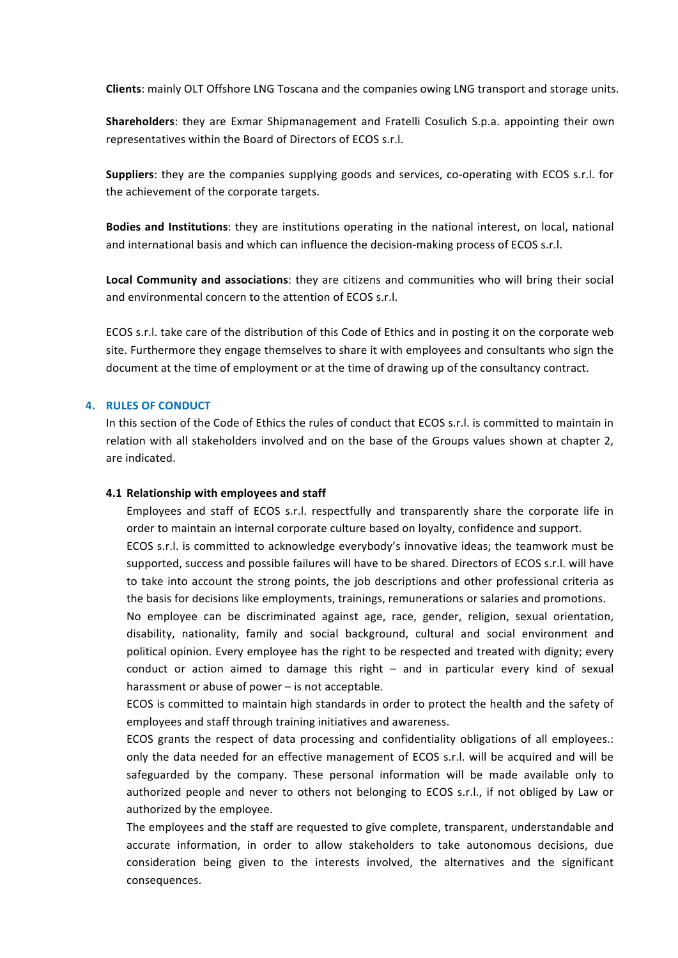**Clients:** mainly OLT Offshore LNG Toscana and the companies owing LNG transport and storage units.

**Shareholders**: they are Exmar Shipmanagement and Fratelli Cosulich S.p.a. appointing their own representatives within the Board of Directors of ECOS s.r.l.

**Suppliers**: they are the companies supplying goods and services, co-operating with ECOS s.r.l. for the achievement of the corporate targets.

**Bodies and Institutions**: they are institutions operating in the national interest, on local, national, and international basis and which can influence the decision-making process of ECOS s.r.l.

**Local Community and associations**: they are citizens and communities who will bring their social, and environmental concern to the attention of ECOS s.r.l.

ECOS s.r.l. take care of the distribution of this Code of Ethics and in posting it on the corporate web site. Furthermore they engage themselves to share it with employees and consultants who sign the document at the time of employment or at the time of drawing up of the consultancy contract.

#### **4. RULES OF CONDUCT**

In this section of the Code of Ethics the rules of conduct that ECOS s.r.l. is committed to maintain in relation with all stakeholders involved and on the base of the Groups values shown at chapter 2, are indicated.

#### **4.1 Relationship with employees and staff**

Employees and staff of ECOS s.r.l. respectfully and transparently share the corporate life in order to maintain an internal corporate culture based on loyalty, confidence and support.

ECOS s.r.l. is committed to acknowledge everybody's innovative ideas; the teamwork must be supported, success and possible failures will have to be shared. Directors of ECOS s.r.l. will have to, take, into, account, the, strong, points, the, job, descriptions, and other, professional, criteria, as, the basis for decisions like employments, trainings, remunerations or salaries and promotions.

No employee can be discriminated against age, race, gender, religion, sexual orientation, disability, nationality, family and social background, cultural and social environment and political opinion. Every employee has the right to be respected and treated with dignity; every conduct or action aimed to damage this right  $-$  and in particular every, kind of sexual harassment or abuse of power  $-$  is not acceptable.

ECOS is committed to maintain high standards in order to protect the health and the safety of employees and staff through training initiatives and awareness.

ECOS grants the respect of data processing and confidentiality obligations of all employees.: only the data needed for an effective management of ECOS s.r.l. will be acquired and will be safeguarded by the company. These personal information will be made available only to authorized, people, and, never, to, others, not, belonging, to, ECOS, s.r.l.,, if, not, obliged, by, Law, or, authorized by the employee.

The employees and the staff are requested to give complete, transparent, understandable and accurate information, in order to allow stakeholders to take autonomous decisions, due consideration, being, given, to, the, interests, involved, the, alternatives, and, the, significant consequences.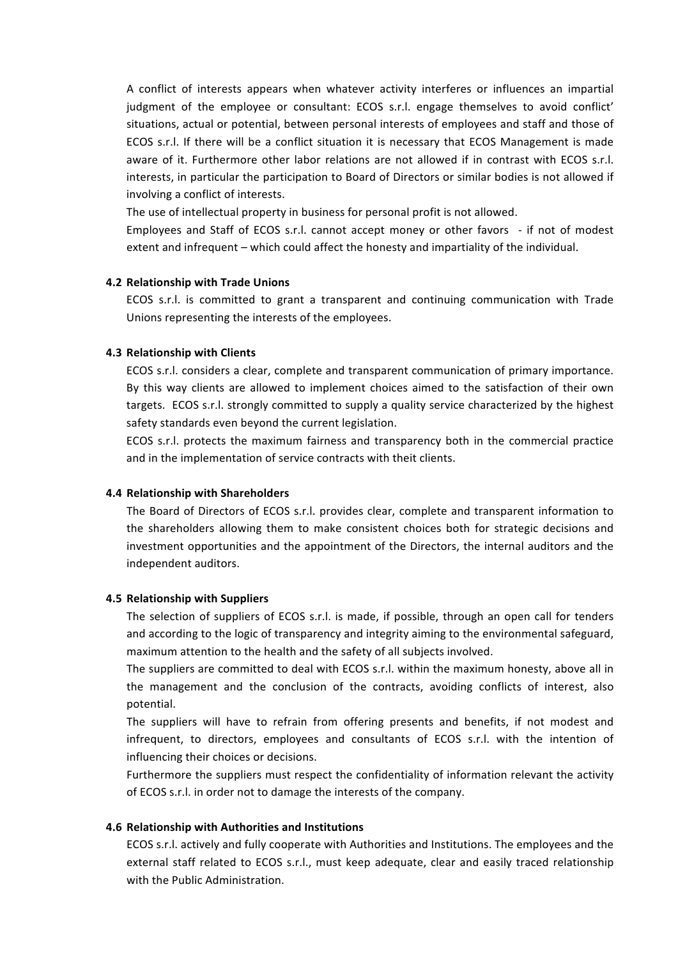A, conflict, of interests appears, when, whatever, activity, interferes, or, influences, an, impartial, judgment of the employee or consultant: ECOS s.r.l. engage themselves to avoid conflict' situations, actual or potential, between personal interests of employees and staff and those of ECOS s.r.l. If there will be a conflict situation it is necessary that ECOS Management is made aware, of, it., Furthermore, other, labor, relations, are, not, allowed, if, in, contrast, with, ECOS, s.r.l., interests, in particular the participation to Board of Directors or similar bodies is not allowed if involving a conflict of interests.

The use of intellectual property in business for personal profit is not allowed.

Employees and Staff of ECOS s.r.l. cannot accept money or other favors - if not of modest extent and infrequent – which could affect the honesty and impartiality of the individual.

#### **4.2 Relationship with Trade Unions**

ECOS s.r.l. is committed to grant a transparent and continuing communication with Trade Unions representing the interests of the employees.

#### **4.3 Relationship with Clients**

ECOS s.r.l. considers a clear, complete and transparent communication of primary importance. By this way clients are allowed to implement choices aimed to the satisfaction of their own targets. ECOS s.r.l. strongly committed to supply a quality service characterized by the highest safety standards even beyond the current legislation.

ECOS s.r.l. protects the maximum fairness and transparency both in the commercial practice and in the implementation of service contracts with theit clients.

#### **4.4 Relationship with Shareholders**

The Board of Directors of ECOS s.r.l. provides clear, complete and transparent information to the shareholders allowing them to make consistent choices both for strategic decisions and investment opportunities and the appointment of the Directors, the internal auditors and the independent auditors.

#### **4.5 Relationship with Suppliers**

The selection of suppliers of ECOS s.r.l. is made, if possible, through an open call for tenders and according to the logic of transparency and integrity aiming to the environmental safeguard, maximum attention to the health and the safety of all subjects involved.

The suppliers are committed to deal with ECOS s.r.l. within the maximum honesty, above all in the management and the conclusion of the contracts, avoiding conflicts of interest, also potential.

The suppliers will have to refrain from offering presents and benefits, if not modest and infrequent, to directors, employees and consultants of ECOS s.r.l. with the intention of influencing their choices or decisions.

Furthermore the suppliers must respect the confidentiality of information relevant the activity of ECOS s.r.l. in order not to damage the interests of the company.

#### **4.6 Relationship with Authorities and Institutions**

ECOS s.r.l. actively and fully cooperate with Authorities and Institutions. The employees and the external staff related to ECOS s.r.l., must keep adequate, clear and easily traced relationship with the Public Administration.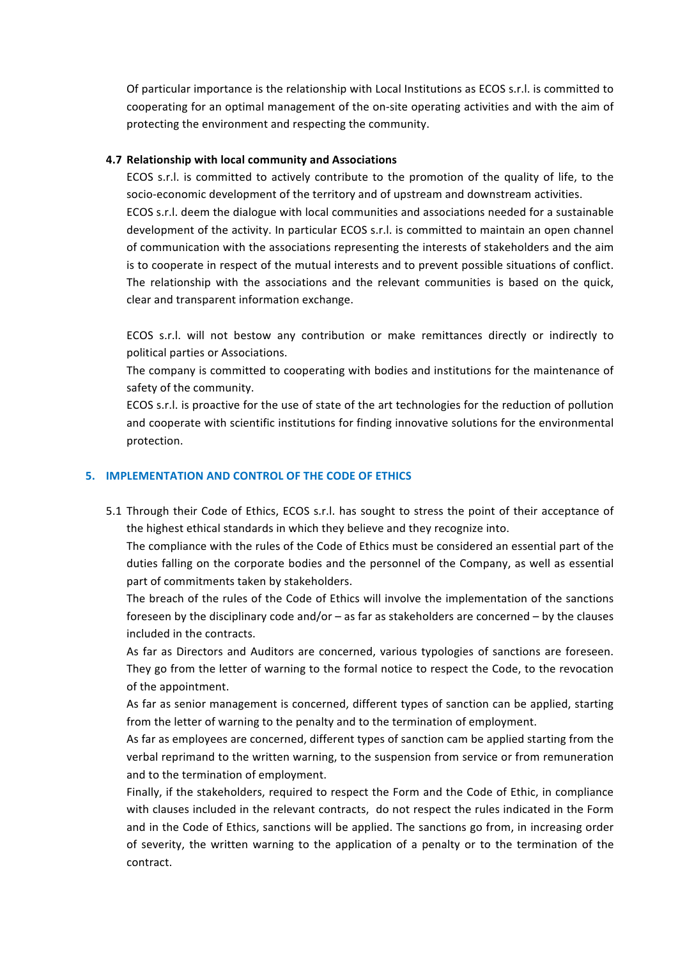Of particular importance is the relationship with Local Institutions as ECOS s.r.l. is committed to cooperating for an optimal management of the on-site operating activities and with the aim of protecting the environment and respecting the community.

#### **4.7** Relationship with local community and Associations

ECOS s.r.l. is committed to actively contribute to the promotion of the quality of life, to the socio-economic development of the territory and of upstream and downstream activities. ECOS s.r.l. deem the dialogue with local communities and associations needed for a sustainable development of the activity. In particular ECOS s.r.l. is committed to maintain an open channel of communication with the associations representing the interests of stakeholders and the aim is, to, cooperate, in, respect, of the mutual interests and to prevent possible situations of conflict. The relationship with the associations and the relevant communities is based on the quick, clear and transparent information exchange.

ECOS s.r.l. will not bestow any contribution or make remittances directly or indirectly to political parties or Associations.

The company is committed to cooperating with bodies and institutions for the maintenance of safety of the community.

ECOS s.r.l. is proactive for the use of state of the art technologies for the reduction of pollution and cooperate with scientific institutions for finding innovative solutions for the environmental protection.

#### **5. IMPLEMENTATION AND CONTROL OF THE CODE OF ETHICS**

5.1 Through their Code of Ethics, ECOS s.r.l. has sought to stress the point of their acceptance of the highest ethical standards in which they believe and they recognize into.

The,compliance with the rules of the Code of Ethics must be considered an essential part of the duties falling on the corporate bodies and the personnel of the Company, as well as essential part of commitments taken by stakeholders.

The breach of the rules of the Code of Ethics will involve the implementation of the sanctions foreseen by the disciplinary code and/or – as far as stakeholders are concerned – by the clauses included in the contracts.

As far as Directors and Auditors are concerned, various typologies of sanctions are foreseen. They go, from, the,letter, of warning, to the formal notice to respect the Code, to the revocation of the appointment.

As far as senior management is concerned, different types of sanction can be applied, starting from the letter of warning to the penalty and to the termination of employment.

As far as employees are concerned, different types of sanction cam be applied starting from the verbal reprimand to the written warning, to the suspension from service or from remuneration and to the termination of employment.

Finally, if the stakeholders, required to respect the Form and the Code of Ethic, in compliance with clauses included in the relevant contracts, do not respect the rules indicated in the Form and in the Code of Ethics, sanctions will be applied. The sanctions go from, in increasing order of severity, the written warning to the application of a penalty or to the termination of the contract.